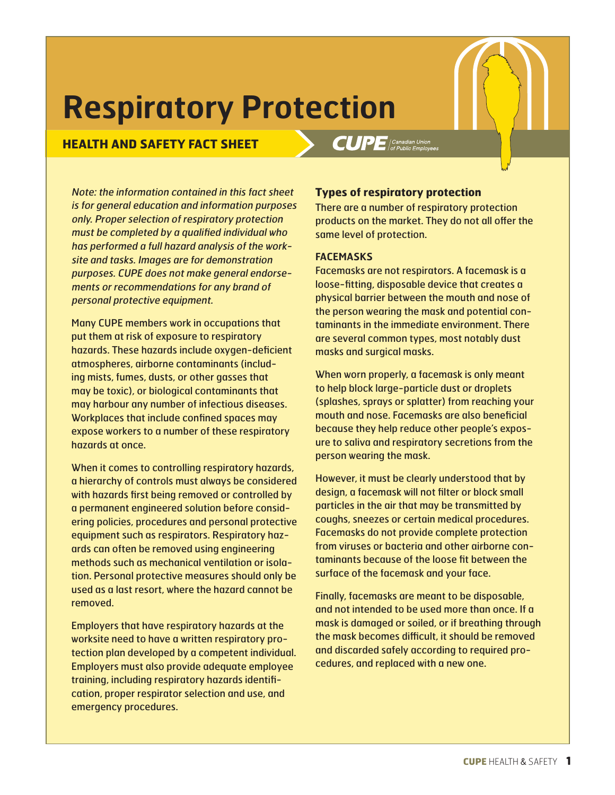# **Respiratory Protection**

# **HEALTH AND SAFETY FACT SHEET**

Note: the information contained in this fact sheet is for general education and information purposes only. Proper selection of respiratory protection must be completed by a qualified individual who has performed a full hazard analysis of the worksite and tasks. Images are for demonstration purposes. CUPE does not make general endorsements or recommendations for any brand of personal protective equipment.

Many CUPE members work in occupations that put them at risk of exposure to respiratory hazards. These hazards include oxygen-deficient atmospheres, airborne contaminants (including mists, fumes, dusts, or other gasses that may be toxic), or biological contaminants that may harbour any number of infectious diseases. Workplaces that include confined spaces may expose workers to a number of these respiratory hazards at once.

When it comes to controlling respiratory hazards, a hierarchy of controls must always be considered with hazards first being removed or controlled by a permanent engineered solution before considering policies, procedures and personal protective equipment such as respirators. Respiratory hazards can often be removed using engineering methods such as mechanical ventilation or isolation. Personal protective measures should only be used as a last resort, where the hazard cannot be removed.

Employers that have respiratory hazards at the worksite need to have a written respiratory protection plan developed by a competent individual. Employers must also provide adequate employee training, including respiratory hazards identification, proper respirator selection and use, and emergency procedures.

## **Types of respiratory protection**

 $CUPE$  | Canadian Union

There are a number of respiratory protection products on the market. They do not all offer the same level of protection.

### **FACEMASKS**

Facemasks are not respirators. A facemask is a loose-fitting, disposable device that creates a physical barrier between the mouth and nose of the person wearing the mask and potential contaminants in the immediate environment. There are several common types, most notably dust masks and surgical masks.

When worn properly, a facemask is only meant to help block large-particle dust or droplets (splashes, sprays or splatter) from reaching your mouth and nose. Facemasks are also beneficial because they help reduce other people's exposure to saliva and respiratory secretions from the person wearing the mask.

However, it must be clearly understood that by design, a facemask will not filter or block small particles in the air that may be transmitted by coughs, sneezes or certain medical procedures. Facemasks do not provide complete protection from viruses or bacteria and other airborne contaminants because of the loose fit between the surface of the facemask and your face.

Finally, facemasks are meant to be disposable, and not intended to be used more than once. If a mask is damaged or soiled, or if breathing through the mask becomes difficult, it should be removed and discarded safely according to required procedures, and replaced with a new one.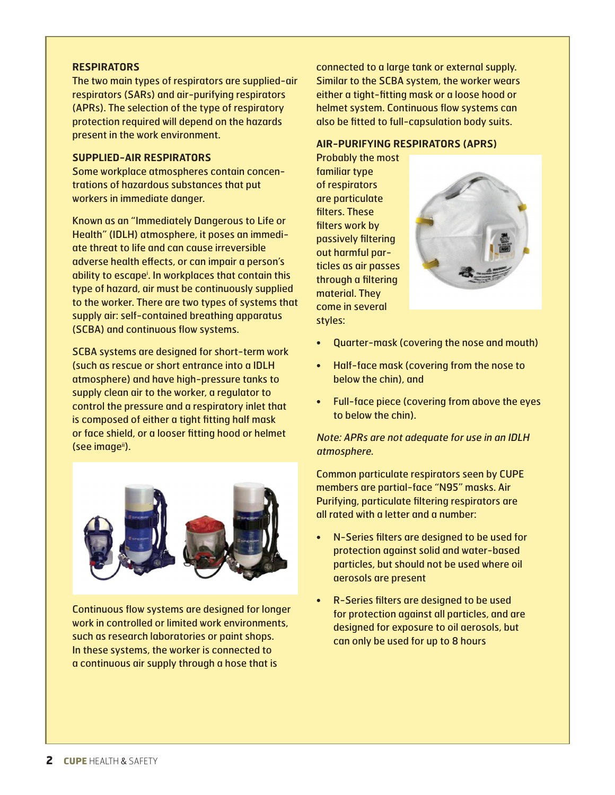### **RESPIRATORS**

The two main types of respirators are supplied-air respirators (SARs) and air-purifying respirators (APRs). The selection of the type of respiratory protection required will depend on the hazards present in the work environment.

#### **SUPPLIED-AIR RESPIRATORS**

Some workplace atmospheres contain concentrations of hazardous substances that put workers in immediate danger.

Known as an "Immediately Dangerous to Life or Health" (IDLH) atmosphere, it poses an immediate threat to life and can cause irreversible adverse health effects, or can impair a person's ability to escapei . In workplaces that contain this type of hazard, air must be continuously supplied to the worker. There are two types of systems that supply air: self-contained breathing apparatus (SCBA) and continuous flow systems.

SCBA systems are designed for short-term work (such as rescue or short entrance into a IDLH atmosphere) and have high-pressure tanks to supply clean air to the worker, a regulator to control the pressure and a respiratory inlet that is composed of either a tight fitting half mask or face shield, or a looser fitting hood or helmet (see imageii).



Continuous flow systems are designed for longer work in controlled or limited work environments, such as research laboratories or paint shops. In these systems, the worker is connected to a continuous air supply through a hose that is

connected to a large tank or external supply. Similar to the SCBA system, the worker wears either a tight-fitting mask or a loose hood or helmet system. Continuous flow systems can also be fitted to full-capsulation body suits.

### **AIR-PURIFYING RESPIRATORS (APRS)**

Probably the most familiar type of respirators are particulate filters. These filters work by passively filtering out harmful particles as air passes through a filtering material. They come in several styles:



- Quarter-mask (covering the nose and mouth)
- Half-face mask (covering from the nose to below the chin), and
- Full-face piece (covering from above the eyes to below the chin).

Note: APRs are not adequate for use in an IDLH atmosphere.

Common particulate respirators seen by CUPE members are partial-face "N95" masks. Air Purifying, particulate filtering respirators are all rated with a letter and a number:

- N-Series filters are designed to be used for protection against solid and water-based particles, but should not be used where oil aerosols are present
- R-Series filters are designed to be used for protection against all particles, and are designed for exposure to oil aerosols, but can only be used for up to 8 hours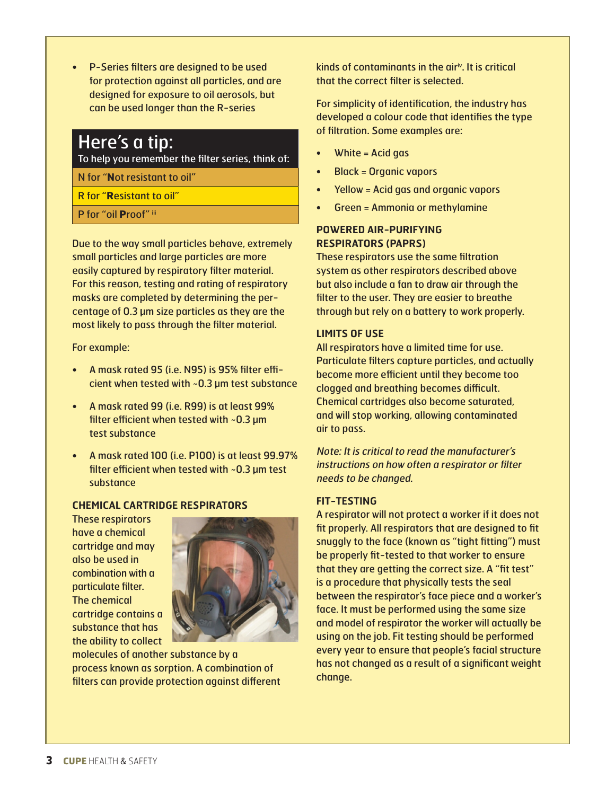• P-Series filters are designed to be used for protection against all particles, and are designed for exposure to oil aerosols, but can be used longer than the R-series

# Here's a tip:

To help you remember the filter series, think of:

- N for "**N**ot resistant to oil"
- R for "**R**esistant to oil"
- P for "oil Proof" iii

Due to the way small particles behave, extremely small particles and large particles are more easily captured by respiratory filter material. For this reason, testing and rating of respiratory masks are completed by determining the percentage of 0.3 µm size particles as they are the most likely to pass through the filter material.

For example:

- A mask rated 95 (i.e. N95) is 95% filter efficient when tested with  $\sim$ 0.3 µm test substance
- A mask rated 99 (i.e. R99) is at least 99% filter efficient when tested with  $\sim$  0.3 µm test substance
- A mask rated 100 (i.e. P100) is at least 99.97% filter efficient when tested with  $\sim$  0.3 µm test substance

### **CHEMICAL CARTRIDGE RESPIRATORS**

These respirators have a chemical cartridge and may also be used in combination with a particulate filter. The chemical cartridge contains a substance that has the ability to collect



molecules of another substance by a process known as sorption. A combination of filters can provide protection against different kinds of contaminants in the air<sup>iv</sup>. It is critical that the correct filter is selected.

For simplicity of identification, the industry has developed a colour code that identifies the type of filtration. Some examples are:

- White = Acid gas
- Black = Organic vapors
- Yellow = Acid gas and organic vapors
- Green = Ammonia or methylamine

### **POWERED AIR-PURIFYING RESPIRATORS (PAPRS)**

These respirators use the same filtration system as other respirators described above but also include a fan to draw air through the filter to the user. They are easier to breathe through but rely on a battery to work properly.

### **LIMITS OF USE**

All respirators have a limited time for use. Particulate filters capture particles, and actually become more efficient until they become too clogged and breathing becomes difficult. Chemical cartridges also become saturated, and will stop working, allowing contaminated air to pass.

Note: It is critical to read the manufacturer's instructions on how often a respirator or filter needs to be changed.

### **FIT-TESTING**

A respirator will not protect a worker if it does not fit properly. All respirators that are designed to fit snuggly to the face (known as "tight fitting") must be properly fit-tested to that worker to ensure that they are getting the correct size. A "fit test" is a procedure that physically tests the seal between the respirator's face piece and a worker's face. It must be performed using the same size and model of respirator the worker will actually be using on the job. Fit testing should be performed every year to ensure that people's facial structure has not changed as a result of a significant weight change.